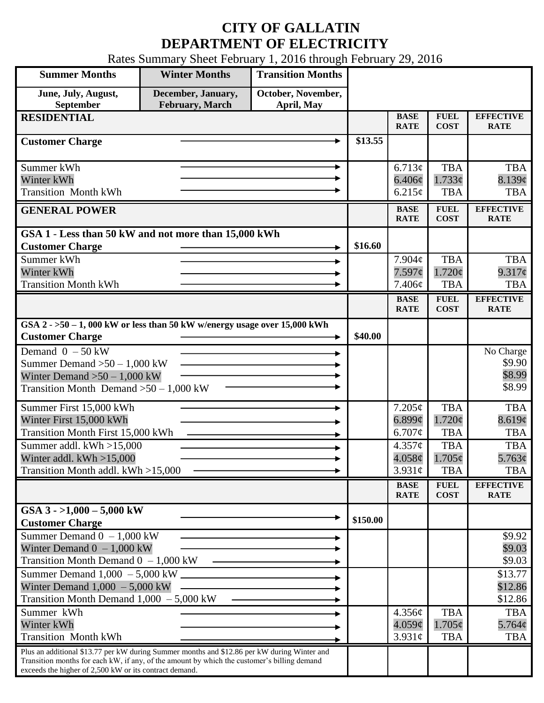# **CITY OF GALLATIN DEPARTMENT OF ELECTRICITY**

Rates Summary Sheet February 1, 2016 through February 29, 2016

| <b>Summer Months</b>                                                                                                                                                                                                                                 | <b>Winter Months</b>                         | <b>Transition Months</b>         |          |                                              |                                                       |                                                  |
|------------------------------------------------------------------------------------------------------------------------------------------------------------------------------------------------------------------------------------------------------|----------------------------------------------|----------------------------------|----------|----------------------------------------------|-------------------------------------------------------|--------------------------------------------------|
| June, July, August,<br>September                                                                                                                                                                                                                     | December, January,<br><b>February, March</b> | October, November,<br>April, May |          |                                              |                                                       |                                                  |
| <b>RESIDENTIAL</b>                                                                                                                                                                                                                                   |                                              |                                  |          | <b>BASE</b><br><b>RATE</b>                   | <b>FUEL</b><br><b>COST</b>                            | <b>EFFECTIVE</b><br><b>RATE</b>                  |
| <b>Customer Charge</b>                                                                                                                                                                                                                               |                                              |                                  | \$13.55  |                                              |                                                       |                                                  |
| Summer kWh<br>Winter kWh                                                                                                                                                                                                                             |                                              |                                  |          | 6.713¢<br>$6.406\phi$                        | <b>TBA</b><br>1.733¢                                  | <b>TBA</b><br>8.139¢                             |
| <b>Transition Month kWh</b>                                                                                                                                                                                                                          |                                              |                                  |          | 6.215¢<br><b>BASE</b>                        | <b>TBA</b><br><b>FUEL</b>                             | <b>TBA</b><br><b>EFFECTIVE</b>                   |
| <b>GENERAL POWER</b>                                                                                                                                                                                                                                 |                                              |                                  |          | <b>RATE</b>                                  | <b>COST</b>                                           | <b>RATE</b>                                      |
| GSA 1 - Less than 50 kW and not more than 15,000 kWh<br><b>Customer Charge</b>                                                                                                                                                                       |                                              |                                  | \$16.60  |                                              |                                                       |                                                  |
| Summer kWh                                                                                                                                                                                                                                           |                                              |                                  |          | $7.904\phi$                                  | <b>TBA</b>                                            | <b>TBA</b>                                       |
| Winter kWh<br><b>Transition Month kWh</b>                                                                                                                                                                                                            |                                              |                                  |          | 7.597¢<br>7.406¢                             | $1.720\phi$<br><b>TBA</b>                             | 9.317¢<br><b>TBA</b>                             |
|                                                                                                                                                                                                                                                      |                                              |                                  |          | <b>BASE</b><br><b>RATE</b>                   | <b>FUEL</b><br><b>COST</b>                            | <b>EFFECTIVE</b><br><b>RATE</b>                  |
| GSA $2 - 50 - 1$ , 000 kW or less than 50 kW w/energy usage over 15,000 kWh<br><b>Customer Charge</b>                                                                                                                                                |                                              |                                  | \$40.00  |                                              |                                                       |                                                  |
| Demand $0 - 50$ kW<br>Summer Demand $>50 - 1,000$ kW<br>Winter Demand $>50-1,000$ kW<br>Transition Month Demand $>50-1,000$ kW                                                                                                                       |                                              |                                  |          |                                              |                                                       | No Charge<br>\$9.90<br>\$8.99<br>\$8.99          |
| Summer First 15,000 kWh<br>Winter First 15,000 kWh<br><b>Transition Month First 15,000 kWh</b><br>$\overline{\text{Sum}}$ mer addl. kWh >15,000                                                                                                      |                                              |                                  |          | $7.205\phi$<br>$6.899$ ¢<br>6.707¢<br>4.357¢ | <b>TBA</b><br>$1.720\phi$<br><b>TBA</b><br><b>TBA</b> | <b>TBA</b><br>8.619¢<br><b>TBA</b><br><b>TBA</b> |
| Winter addl. $kWh > 15,000$<br>Transition Month addl. kWh >15,000                                                                                                                                                                                    |                                              |                                  |          | 4.058c<br>$3.931\phi$                        | $1.705\epsilon$<br><b>TBA</b>                         | 5.763¢<br><b>TBA</b>                             |
|                                                                                                                                                                                                                                                      |                                              |                                  |          | <b>BASE</b><br><b>RATE</b>                   | <b>FUEL</b><br><b>COST</b>                            | <b>EFFECTIVE</b><br><b>RATE</b>                  |
| GSA $3 - 1,000 - 5,000$ kW<br><b>Customer Charge</b>                                                                                                                                                                                                 |                                              |                                  | \$150.00 |                                              |                                                       |                                                  |
| Summer Demand $0 - 1,000$ kW<br>Winter Demand $0 - 1,000$ kW<br>Transition Month Demand $0 - 1,000$ kW                                                                                                                                               |                                              |                                  |          |                                              |                                                       | \$9.92<br>\$9.03<br>\$9.03                       |
| Summer Demand 1,000 - 5,000 kW<br>Winter Demand $1,000 - 5,000$ kW<br>Transition Month Demand $1,000 - 5,000$ kW                                                                                                                                     |                                              |                                  |          |                                              |                                                       | \$13.77<br>\$12.86<br>\$12.86                    |
| Summer kWh<br>Winter kWh<br><b>Transition Month kWh</b>                                                                                                                                                                                              |                                              |                                  |          | 4.356¢<br>$4.059\phi$<br>$3.931\phi$         | <b>TBA</b><br>$1.705\phi$<br><b>TBA</b>               | <b>TBA</b><br>$5.764\phi$<br><b>TBA</b>          |
| Plus an additional \$13.77 per kW during Summer months and \$12.86 per kW during Winter and<br>Transition months for each kW, if any, of the amount by which the customer's billing demand<br>exceeds the higher of 2,500 kW or its contract demand. |                                              |                                  |          |                                              |                                                       |                                                  |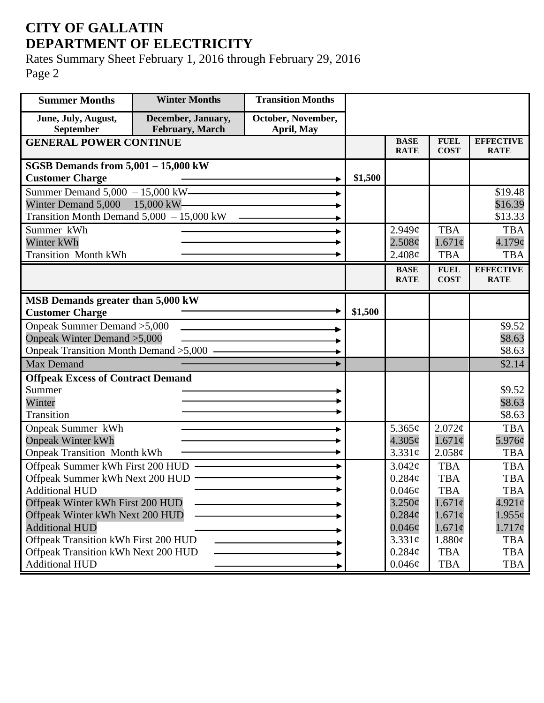# **CITY OF GALLATIN DEPARTMENT OF ELECTRICITY**

Rates Summary Sheet February 1, 2016 through February 29, 2016 Page 2

| <b>Summer Months</b>                                      | <b>Winter Months</b>                  | <b>Transition Months</b>         |                            |                                 |                            |                                 |
|-----------------------------------------------------------|---------------------------------------|----------------------------------|----------------------------|---------------------------------|----------------------------|---------------------------------|
| June, July, August,<br>September                          | December, January,<br>February, March | October, November,<br>April, May |                            |                                 |                            |                                 |
| <b>GENERAL POWER CONTINUE</b>                             |                                       | <b>BASE</b><br><b>RATE</b>       | <b>FUEL</b><br><b>COST</b> | <b>EFFECTIVE</b><br><b>RATE</b> |                            |                                 |
| SGSB Demands from $5,001 - 15,000$ kW                     |                                       |                                  |                            |                                 |                            |                                 |
| <b>Customer Charge</b>                                    |                                       |                                  | \$1,500                    |                                 |                            |                                 |
| Summer Demand 5,000 - 15,000 kW -                         |                                       |                                  |                            |                                 |                            | \$19.48                         |
| Winter Demand $5,000 - 15,000$ kW-                        |                                       |                                  |                            |                                 |                            | \$16.39                         |
| Transition Month Demand $5,000 - 15,000$ kW               |                                       |                                  |                            |                                 |                            | \$13.33                         |
| Summer kWh                                                |                                       |                                  |                            | $2.949\mathcal{C}$              | <b>TBA</b>                 | <b>TBA</b>                      |
| Winter kWh                                                |                                       |                                  |                            | 2.508¢                          | $1.671\phi$                | 4.179¢                          |
| <b>Transition Month kWh</b>                               |                                       |                                  |                            | 2.408¢                          | <b>TBA</b>                 | <b>TBA</b>                      |
|                                                           |                                       |                                  |                            | <b>BASE</b><br><b>RATE</b>      | <b>FUEL</b><br><b>COST</b> | <b>EFFECTIVE</b><br><b>RATE</b> |
|                                                           |                                       |                                  |                            |                                 |                            |                                 |
| MSB Demands greater than 5,000 kW                         |                                       |                                  |                            |                                 |                            |                                 |
| <b>Customer Charge</b>                                    |                                       |                                  | \$1,500                    |                                 |                            |                                 |
| Onpeak Summer Demand > 5,000                              |                                       |                                  |                            |                                 |                            | \$9.52                          |
| Onpeak Winter Demand > 5,000                              |                                       |                                  |                            |                                 |                            | \$8.63                          |
| Onpeak Transition Month Demand > 5,000 —                  |                                       |                                  |                            |                                 |                            | \$8.63                          |
| <b>Max Demand</b>                                         |                                       |                                  |                            |                                 |                            | \$2.14                          |
| <b>Offpeak Excess of Contract Demand</b>                  |                                       |                                  |                            |                                 |                            |                                 |
| Summer                                                    |                                       |                                  |                            |                                 |                            | \$9.52                          |
| Winter                                                    |                                       |                                  |                            |                                 |                            | \$8.63                          |
| Transition                                                |                                       |                                  |                            |                                 |                            | \$8.63                          |
| <b>Onpeak Summer kWh</b>                                  |                                       |                                  |                            | 5.365 $\phi$                    | 2.072¢                     | <b>TBA</b>                      |
| <b>Onpeak Winter kWh</b>                                  |                                       |                                  |                            | $4.305\phi$                     | $1.671\phi$                | 5.976¢                          |
| <b>Onpeak Transition Month kWh</b>                        |                                       |                                  |                            | 3.331c                          | 2.058¢                     | <b>TBA</b>                      |
| Offpeak Summer kWh First 200 HUD -                        |                                       |                                  |                            | 3.042¢                          | <b>TBA</b>                 | <b>TBA</b>                      |
| Offpeak Summer kWh Next 200 HUD -                         |                                       |                                  |                            | $0.284\phi$<br>0.046¢           | <b>TBA</b><br><b>TBA</b>   | <b>TBA</b><br><b>TBA</b>        |
| <b>Additional HUD</b><br>Offpeak Winter kWh First 200 HUD |                                       |                                  |                            | 3.250¢                          | $1.671\phi$                | $4.921\circ$                    |
| Offpeak Winter kWh Next 200 HUD                           |                                       |                                  |                            | $0.284\phi$                     | $1.671\phi$                | $1.955\phi$                     |
| <b>Additional HUD</b>                                     |                                       |                                  |                            | $0.046\phi$                     | $1.671\phi$                | $1.717\phi$                     |
| Offpeak Transition kWh First 200 HUD                      |                                       |                                  |                            | 3.331¢                          | 1.880¢                     | <b>TBA</b>                      |
| Offpeak Transition kWh Next 200 HUD                       |                                       |                                  |                            | $0.284\phi$                     | <b>TBA</b>                 | <b>TBA</b>                      |
| <b>Additional HUD</b>                                     |                                       |                                  |                            | $0.046\phi$                     | <b>TBA</b>                 | TBA                             |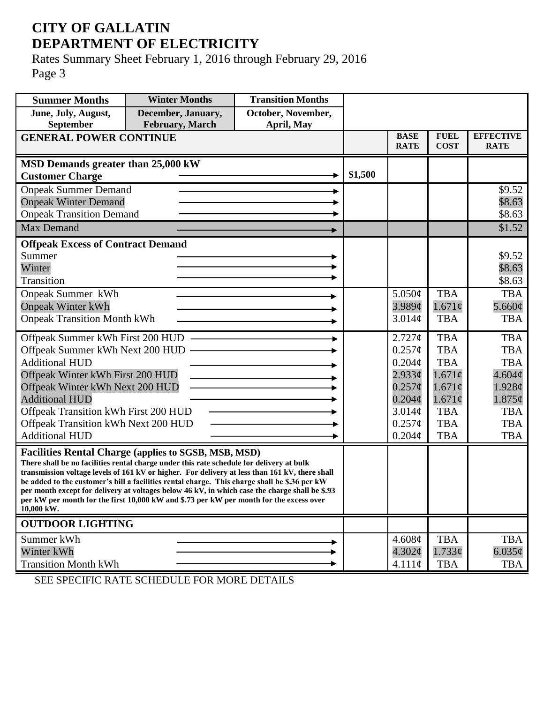## **CITY OF GALLATIN DEPARTMENT OF ELECTRICITY**

Rates Summary Sheet February 1, 2016 through February 29, 2016 Page 3

| <b>Summer Months</b>                       | <b>Winter Months</b>                                                                                                                                                                       | <b>Transition Months</b> |         |             |             |                  |
|--------------------------------------------|--------------------------------------------------------------------------------------------------------------------------------------------------------------------------------------------|--------------------------|---------|-------------|-------------|------------------|
| June, July, August,                        | December, January,                                                                                                                                                                         | October, November,       |         |             |             |                  |
| September<br><b>GENERAL POWER CONTINUE</b> | <b>February</b> , March                                                                                                                                                                    | April, May               |         | <b>BASE</b> | <b>FUEL</b> | <b>EFFECTIVE</b> |
|                                            |                                                                                                                                                                                            |                          |         | <b>RATE</b> | <b>COST</b> | <b>RATE</b>      |
| MSD Demands greater than 25,000 kW         |                                                                                                                                                                                            |                          |         |             |             |                  |
| <b>Customer Charge</b>                     |                                                                                                                                                                                            |                          | \$1,500 |             |             |                  |
| <b>Onpeak Summer Demand</b>                |                                                                                                                                                                                            |                          |         |             |             | \$9.52           |
| <b>Onpeak Winter Demand</b>                |                                                                                                                                                                                            |                          |         |             |             | \$8.63           |
| <b>Onpeak Transition Demand</b>            |                                                                                                                                                                                            |                          |         |             |             | \$8.63           |
| Max Demand                                 |                                                                                                                                                                                            |                          |         |             |             | \$1.52           |
| <b>Offpeak Excess of Contract Demand</b>   |                                                                                                                                                                                            |                          |         |             |             |                  |
| Summer                                     |                                                                                                                                                                                            |                          |         |             |             | \$9.52           |
| Winter                                     |                                                                                                                                                                                            |                          |         |             |             | \$8.63           |
| Transition                                 |                                                                                                                                                                                            |                          |         |             |             | \$8.63           |
| <b>Onpeak Summer kWh</b>                   |                                                                                                                                                                                            |                          |         | 5.050¢      | <b>TBA</b>  | <b>TBA</b>       |
| <b>Onpeak Winter kWh</b>                   |                                                                                                                                                                                            |                          |         | 3.989¢      | $1.671\phi$ | 5.660 $\phi$     |
| <b>Onpeak Transition Month kWh</b>         |                                                                                                                                                                                            |                          |         | 3.014¢      | <b>TBA</b>  | <b>TBA</b>       |
| Offpeak Summer kWh First 200 HUD           |                                                                                                                                                                                            |                          |         | 2.727¢      | <b>TBA</b>  | <b>TBA</b>       |
| Offpeak Summer kWh Next 200 HUD -          |                                                                                                                                                                                            |                          |         | $0.257\phi$ | <b>TBA</b>  | <b>TBA</b>       |
| <b>Additional HUD</b>                      |                                                                                                                                                                                            |                          |         | $0.204\phi$ | <b>TBA</b>  | <b>TBA</b>       |
| Offpeak Winter kWh First 200 HUD           |                                                                                                                                                                                            |                          |         | $2.933\phi$ | $1.671\phi$ | 4.604¢           |
| Offpeak Winter kWh Next 200 HUD            |                                                                                                                                                                                            |                          |         | $0.257\phi$ | $1.671\phi$ | 1.928¢           |
| <b>Additional HUD</b>                      |                                                                                                                                                                                            |                          |         | $0.204\phi$ | $1.671\phi$ | $1.875\phi$      |
| Offpeak Transition kWh First 200 HUD       |                                                                                                                                                                                            |                          |         | 3.014¢      | <b>TBA</b>  | <b>TBA</b>       |
| Offpeak Transition kWh Next 200 HUD        |                                                                                                                                                                                            |                          |         | $0.257\phi$ | <b>TBA</b>  | <b>TBA</b>       |
| <b>Additional HUD</b>                      |                                                                                                                                                                                            |                          |         | $0.204\phi$ | <b>TBA</b>  | <b>TBA</b>       |
|                                            | <b>Facilities Rental Charge (applies to SGSB, MSB, MSD)</b>                                                                                                                                |                          |         |             |             |                  |
|                                            | There shall be no facilities rental charge under this rate schedule for delivery at bulk<br>transmission voltage levels of 161 kV or higher. For delivery at less than 161 kV, there shall |                          |         |             |             |                  |
|                                            | be added to the customer's bill a facilities rental charge. This charge shall be \$.36 per kW                                                                                              |                          |         |             |             |                  |
|                                            | per month except for delivery at voltages below 46 kV, in which case the charge shall be \$.93<br>per kW per month for the first 10,000 kW and \$.73 per kW per month for the excess over  |                          |         |             |             |                  |
| 10,000 kW.                                 |                                                                                                                                                                                            |                          |         |             |             |                  |
| <b>OUTDOOR LIGHTING</b>                    |                                                                                                                                                                                            |                          |         |             |             |                  |
| Summer kWh                                 |                                                                                                                                                                                            |                          |         | 4.608¢      | <b>TBA</b>  | <b>TBA</b>       |
| Winter kWh                                 |                                                                                                                                                                                            |                          |         | $4.302\phi$ | 1.733¢      | $6.035\phi$      |
| <b>Transition Month kWh</b>                |                                                                                                                                                                                            |                          |         | $4.111\phi$ | <b>TBA</b>  | TBA              |

SEE SPECIFIC RATE SCHEDULE FOR MORE DETAILS